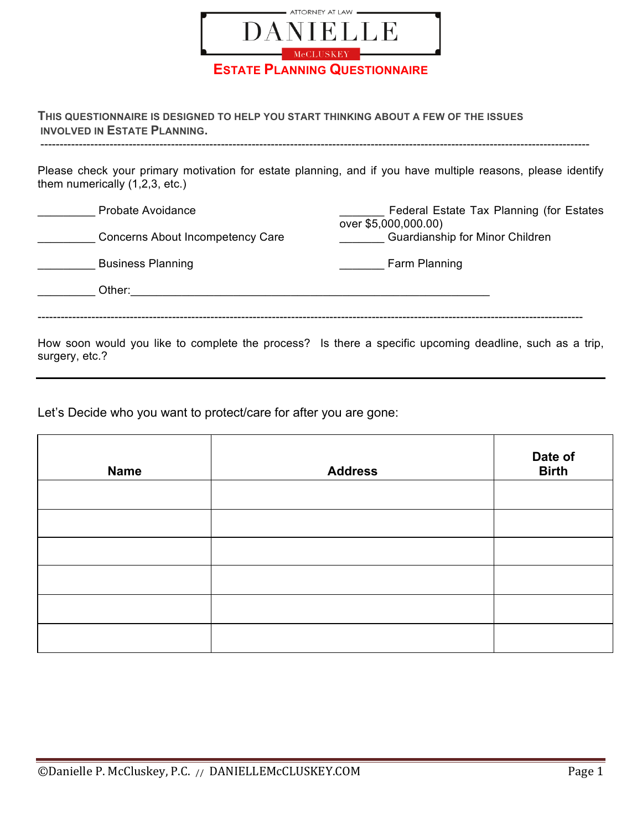

**THIS QUESTIONNAIRE IS DESIGNED TO HELP YOU START THINKING ABOUT A FEW OF THE ISSUES INVOLVED IN ESTATE PLANNING.**

Please check your primary motivation for estate planning, and if you have multiple reasons, please identify them numerically (1,2,3, etc.)

-----------------------------------------------------------------------------------------------------------------------------------------------

| Probate Avoidance                | Federal Estate Tax Planning (for Estates<br>over \$5,000,000.00)                                      |
|----------------------------------|-------------------------------------------------------------------------------------------------------|
| Concerns About Incompetency Care | Guardianship for Minor Children                                                                       |
| <b>Business Planning</b>         | Farm Planning                                                                                         |
| Other:                           |                                                                                                       |
|                                  |                                                                                                       |
|                                  | How coop would you like to complete the process? Is there a specific upcoming deadline such as a trip |

How soon would you like to complete the process? Is there a specific upcoming deadline, such as a trip, surgery, etc.?

Let's Decide who you want to protect/care for after you are gone:

| <b>Name</b> | <b>Address</b> | Date of<br><b>Birth</b> |
|-------------|----------------|-------------------------|
|             |                |                         |
|             |                |                         |
|             |                |                         |
|             |                |                         |
|             |                |                         |
|             |                |                         |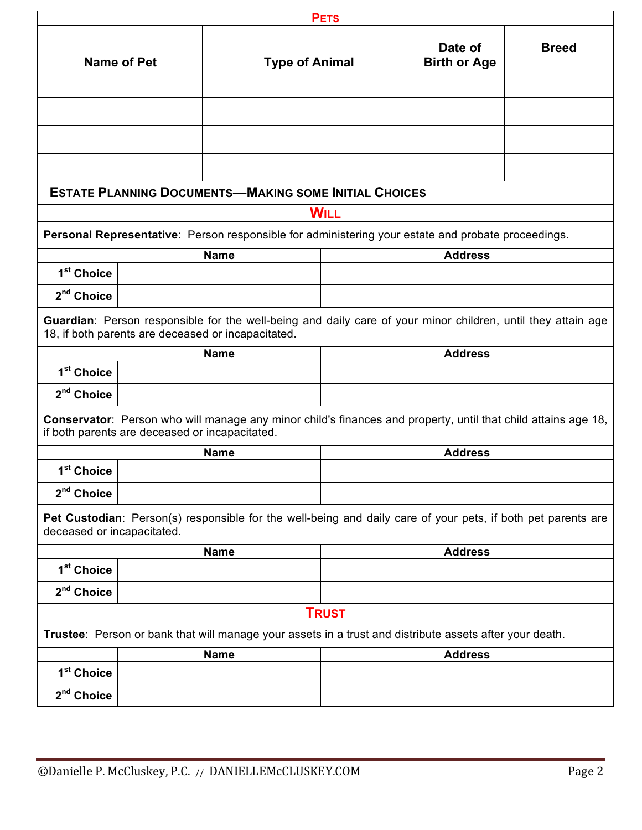|                                                                                                                                                                 | <b>PETS</b>        |                                                                                                                                                                    |              |                                |              |
|-----------------------------------------------------------------------------------------------------------------------------------------------------------------|--------------------|--------------------------------------------------------------------------------------------------------------------------------------------------------------------|--------------|--------------------------------|--------------|
|                                                                                                                                                                 | <b>Name of Pet</b> | <b>Type of Animal</b>                                                                                                                                              |              | Date of<br><b>Birth or Age</b> | <b>Breed</b> |
|                                                                                                                                                                 |                    |                                                                                                                                                                    |              |                                |              |
|                                                                                                                                                                 |                    |                                                                                                                                                                    |              |                                |              |
|                                                                                                                                                                 |                    |                                                                                                                                                                    |              |                                |              |
|                                                                                                                                                                 |                    |                                                                                                                                                                    |              |                                |              |
|                                                                                                                                                                 |                    | <b>ESTATE PLANNING DOCUMENTS-MAKING SOME INITIAL CHOICES</b>                                                                                                       |              |                                |              |
|                                                                                                                                                                 |                    |                                                                                                                                                                    | <b>WILL</b>  |                                |              |
|                                                                                                                                                                 |                    | Personal Representative: Person responsible for administering your estate and probate proceedings.                                                                 |              |                                |              |
|                                                                                                                                                                 |                    | <b>Name</b>                                                                                                                                                        |              | <b>Address</b>                 |              |
| 1 <sup>st</sup> Choice                                                                                                                                          |                    |                                                                                                                                                                    |              |                                |              |
| 2 <sup>nd</sup> Choice                                                                                                                                          |                    |                                                                                                                                                                    |              |                                |              |
|                                                                                                                                                                 |                    | Guardian: Person responsible for the well-being and daily care of your minor children, until they attain age<br>18, if both parents are deceased or incapacitated. |              |                                |              |
|                                                                                                                                                                 |                    | <b>Name</b>                                                                                                                                                        |              | <b>Address</b>                 |              |
| 1 <sup>st</sup> Choice                                                                                                                                          |                    |                                                                                                                                                                    |              |                                |              |
| 2 <sup>nd</sup> Choice                                                                                                                                          |                    |                                                                                                                                                                    |              |                                |              |
| Conservator: Person who will manage any minor child's finances and property, until that child attains age 18,<br>if both parents are deceased or incapacitated. |                    |                                                                                                                                                                    |              |                                |              |
|                                                                                                                                                                 |                    | <b>Name</b>                                                                                                                                                        |              | <b>Address</b>                 |              |
| 1 <sup>st</sup> Choice                                                                                                                                          |                    |                                                                                                                                                                    |              |                                |              |
| 2 <sup>nd</sup> Choice                                                                                                                                          |                    |                                                                                                                                                                    |              |                                |              |
| Pet Custodian: Person(s) responsible for the well-being and daily care of your pets, if both pet parents are<br>deceased or incapacitated.                      |                    |                                                                                                                                                                    |              |                                |              |
|                                                                                                                                                                 |                    | <b>Name</b>                                                                                                                                                        |              | <b>Address</b>                 |              |
| 1 <sup>st</sup> Choice                                                                                                                                          |                    |                                                                                                                                                                    |              |                                |              |
| 2 <sup>nd</sup> Choice                                                                                                                                          |                    |                                                                                                                                                                    |              |                                |              |
|                                                                                                                                                                 |                    |                                                                                                                                                                    | <b>TRUST</b> |                                |              |
| Trustee: Person or bank that will manage your assets in a trust and distribute assets after your death.                                                         |                    |                                                                                                                                                                    |              |                                |              |
|                                                                                                                                                                 |                    | <b>Name</b>                                                                                                                                                        |              | <b>Address</b>                 |              |
| 1 <sup>st</sup> Choice                                                                                                                                          |                    |                                                                                                                                                                    |              |                                |              |
| 2 <sup>nd</sup> Choice                                                                                                                                          |                    |                                                                                                                                                                    |              |                                |              |